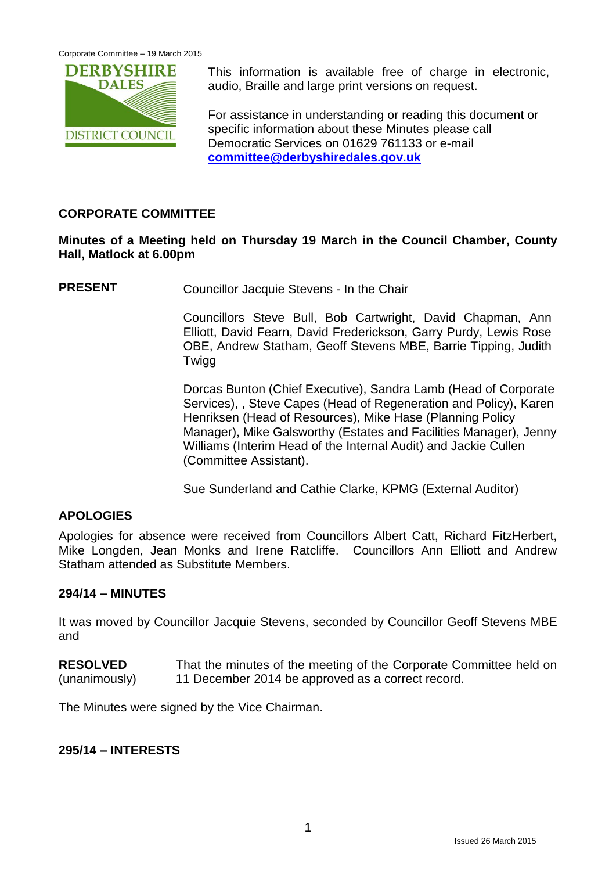

This information is available free of charge in electronic, audio, Braille and large print versions on request.

For assistance in understanding or reading this document or specific information about these Minutes please call Democratic Services on 01629 761133 or e-mail **[committee@derbyshiredales.gov.uk](mailto:committee@derbyshiredales.gov.uk)**

#### **CORPORATE COMMITTEE**

#### **Minutes of a Meeting held on Thursday 19 March in the Council Chamber, County Hall, Matlock at 6.00pm**

**PRESENT** Councillor Jacquie Stevens - In the Chair

Councillors Steve Bull, Bob Cartwright, David Chapman, Ann Elliott, David Fearn, David Frederickson, Garry Purdy, Lewis Rose OBE, Andrew Statham, Geoff Stevens MBE, Barrie Tipping, Judith **Twigg** 

Dorcas Bunton (Chief Executive), Sandra Lamb (Head of Corporate Services), , Steve Capes (Head of Regeneration and Policy), Karen Henriksen (Head of Resources), Mike Hase (Planning Policy Manager), Mike Galsworthy (Estates and Facilities Manager), Jenny Williams (Interim Head of the Internal Audit) and Jackie Cullen (Committee Assistant).

Sue Sunderland and Cathie Clarke, KPMG (External Auditor)

## **APOLOGIES**

Apologies for absence were received from Councillors Albert Catt, Richard FitzHerbert, Mike Longden, Jean Monks and Irene Ratcliffe. Councillors Ann Elliott and Andrew Statham attended as Substitute Members.

#### **294/14 – MINUTES**

It was moved by Councillor Jacquie Stevens, seconded by Councillor Geoff Stevens MBE and

**RESOLVED** (unanimously) That the minutes of the meeting of the Corporate Committee held on 11 December 2014 be approved as a correct record.

The Minutes were signed by the Vice Chairman.

#### **295/14 – INTERESTS**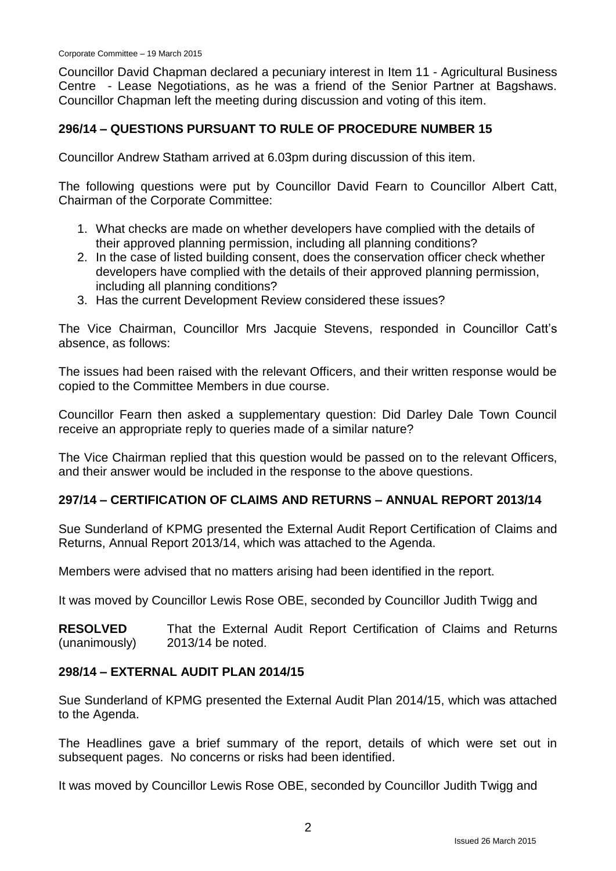Councillor David Chapman declared a pecuniary interest in Item 11 - Agricultural Business Centre - Lease Negotiations, as he was a friend of the Senior Partner at Bagshaws. Councillor Chapman left the meeting during discussion and voting of this item.

#### **296/14 – QUESTIONS PURSUANT TO RULE OF PROCEDURE NUMBER 15**

Councillor Andrew Statham arrived at 6.03pm during discussion of this item.

The following questions were put by Councillor David Fearn to Councillor Albert Catt, Chairman of the Corporate Committee:

- 1. What checks are made on whether developers have complied with the details of their approved planning permission, including all planning conditions?
- 2. In the case of listed building consent, does the conservation officer check whether developers have complied with the details of their approved planning permission, including all planning conditions?
- 3. Has the current Development Review considered these issues?

The Vice Chairman, Councillor Mrs Jacquie Stevens, responded in Councillor Catt's absence, as follows:

The issues had been raised with the relevant Officers, and their written response would be copied to the Committee Members in due course.

Councillor Fearn then asked a supplementary question: Did Darley Dale Town Council receive an appropriate reply to queries made of a similar nature?

The Vice Chairman replied that this question would be passed on to the relevant Officers, and their answer would be included in the response to the above questions.

#### **297/14 – CERTIFICATION OF CLAIMS AND RETURNS – ANNUAL REPORT 2013/14**

Sue Sunderland of KPMG presented the External Audit Report Certification of Claims and Returns, Annual Report 2013/14, which was attached to the Agenda.

Members were advised that no matters arising had been identified in the report.

It was moved by Councillor Lewis Rose OBE, seconded by Councillor Judith Twigg and

**RESOLVED** (unanimously) That the External Audit Report Certification of Claims and Returns 2013/14 be noted.

#### **298/14 – EXTERNAL AUDIT PLAN 2014/15**

Sue Sunderland of KPMG presented the External Audit Plan 2014/15, which was attached to the Agenda.

The Headlines gave a brief summary of the report, details of which were set out in subsequent pages. No concerns or risks had been identified.

It was moved by Councillor Lewis Rose OBE, seconded by Councillor Judith Twigg and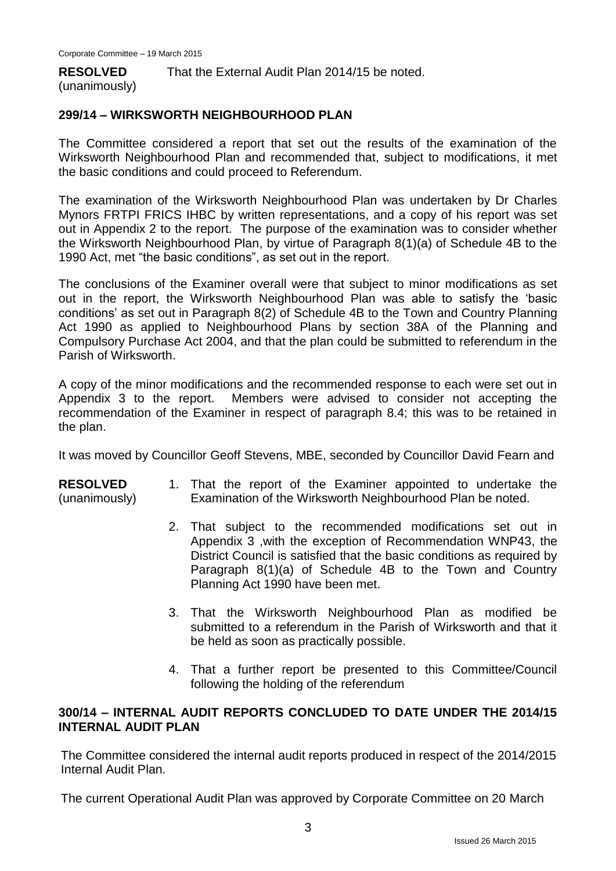#### **RESOLVED**

That the External Audit Plan 2014/15 be noted.

#### (unanimously)

#### **299/14 – WIRKSWORTH NEIGHBOURHOOD PLAN**

The Committee considered a report that set out the results of the examination of the Wirksworth Neighbourhood Plan and recommended that, subject to modifications, it met the basic conditions and could proceed to Referendum.

The examination of the Wirksworth Neighbourhood Plan was undertaken by Dr Charles Mynors FRTPI FRICS IHBC by written representations, and a copy of his report was set out in Appendix 2 to the report. The purpose of the examination was to consider whether the Wirksworth Neighbourhood Plan, by virtue of Paragraph 8(1)(a) of Schedule 4B to the 1990 Act, met "the basic conditions", as set out in the report.

The conclusions of the Examiner overall were that subject to minor modifications as set out in the report, the Wirksworth Neighbourhood Plan was able to satisfy the 'basic conditions' as set out in Paragraph 8(2) of Schedule 4B to the Town and Country Planning Act 1990 as applied to Neighbourhood Plans by section 38A of the Planning and Compulsory Purchase Act 2004, and that the plan could be submitted to referendum in the Parish of Wirksworth.

A copy of the minor modifications and the recommended response to each were set out in Appendix 3 to the report. Members were advised to consider not accepting the recommendation of the Examiner in respect of paragraph 8.4; this was to be retained in the plan.

It was moved by Councillor Geoff Stevens, MBE, seconded by Councillor David Fearn and

#### **RESOLVED** (unanimously) 1. That the report of the Examiner appointed to undertake the Examination of the Wirksworth Neighbourhood Plan be noted.

- 2. That subject to the recommended modifications set out in Appendix 3 ,with the exception of Recommendation WNP43, the District Council is satisfied that the basic conditions as required by Paragraph 8(1)(a) of Schedule 4B to the Town and Country Planning Act 1990 have been met.
- 3. That the Wirksworth Neighbourhood Plan as modified be submitted to a referendum in the Parish of Wirksworth and that it be held as soon as practically possible.
- 4. That a further report be presented to this Committee/Council following the holding of the referendum

#### **300/14 – INTERNAL AUDIT REPORTS CONCLUDED TO DATE UNDER THE 2014/15 INTERNAL AUDIT PLAN**

The Committee considered the internal audit reports produced in respect of the 2014/2015 Internal Audit Plan.

The current Operational Audit Plan was approved by Corporate Committee on 20 March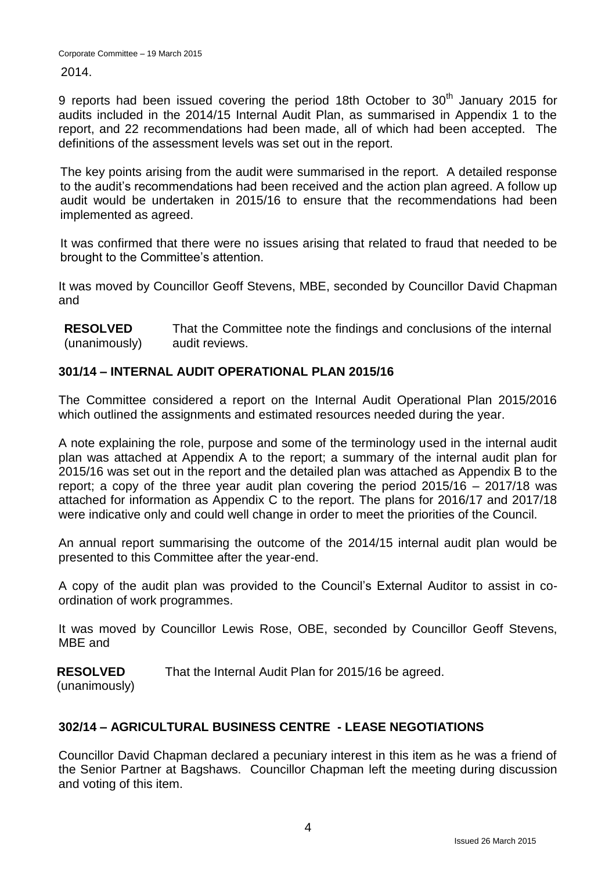2014.

9 reports had been issued covering the period 18th October to  $30<sup>th</sup>$  January 2015 for audits included in the 2014/15 Internal Audit Plan, as summarised in Appendix 1 to the report, and 22 recommendations had been made, all of which had been accepted. The definitions of the assessment levels was set out in the report.

The key points arising from the audit were summarised in the report. A detailed response to the audit's recommendations had been received and the action plan agreed. A follow up audit would be undertaken in 2015/16 to ensure that the recommendations had been implemented as agreed.

It was confirmed that there were no issues arising that related to fraud that needed to be brought to the Committee's attention.

It was moved by Councillor Geoff Stevens, MBE, seconded by Councillor David Chapman and

**RESOLVED** (unanimously) That the Committee note the findings and conclusions of the internal audit reviews.

## **301/14 – INTERNAL AUDIT OPERATIONAL PLAN 2015/16**

The Committee considered a report on the Internal Audit Operational Plan 2015/2016 which outlined the assignments and estimated resources needed during the year.

A note explaining the role, purpose and some of the terminology used in the internal audit plan was attached at Appendix A to the report; a summary of the internal audit plan for 2015/16 was set out in the report and the detailed plan was attached as Appendix B to the report; a copy of the three year audit plan covering the period 2015/16 – 2017/18 was attached for information as Appendix C to the report. The plans for 2016/17 and 2017/18 were indicative only and could well change in order to meet the priorities of the Council.

An annual report summarising the outcome of the 2014/15 internal audit plan would be presented to this Committee after the year-end.

A copy of the audit plan was provided to the Council's External Auditor to assist in coordination of work programmes.

It was moved by Councillor Lewis Rose, OBE, seconded by Councillor Geoff Stevens, MBE and

**RESOLVED** That the Internal Audit Plan for 2015/16 be agreed.

(unanimously)

## **302/14 – AGRICULTURAL BUSINESS CENTRE - LEASE NEGOTIATIONS**

Councillor David Chapman declared a pecuniary interest in this item as he was a friend of the Senior Partner at Bagshaws. Councillor Chapman left the meeting during discussion and voting of this item.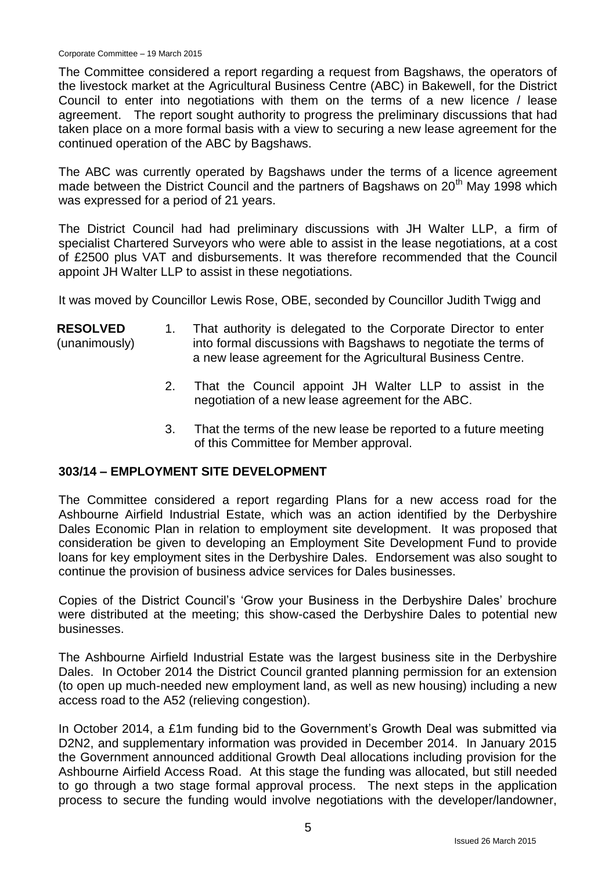The Committee considered a report regarding a request from Bagshaws, the operators of the livestock market at the Agricultural Business Centre (ABC) in Bakewell, for the District Council to enter into negotiations with them on the terms of a new licence / lease agreement. The report sought authority to progress the preliminary discussions that had taken place on a more formal basis with a view to securing a new lease agreement for the continued operation of the ABC by Bagshaws.

The ABC was currently operated by Bagshaws under the terms of a licence agreement made between the District Council and the partners of Bagshaws on 20<sup>th</sup> May 1998 which was expressed for a period of 21 years.

The District Council had had preliminary discussions with JH Walter LLP, a firm of specialist Chartered Surveyors who were able to assist in the lease negotiations, at a cost of £2500 plus VAT and disbursements. It was therefore recommended that the Council appoint JH Walter LLP to assist in these negotiations.

It was moved by Councillor Lewis Rose, OBE, seconded by Councillor Judith Twigg and

- **RESOLVED** (unanimously) 1. That authority is delegated to the Corporate Director to enter into formal discussions with Bagshaws to negotiate the terms of a new lease agreement for the Agricultural Business Centre.
	- 2. That the Council appoint JH Walter LLP to assist in the negotiation of a new lease agreement for the ABC.
	- 3. That the terms of the new lease be reported to a future meeting of this Committee for Member approval.

#### **303/14 – EMPLOYMENT SITE DEVELOPMENT**

The Committee considered a report regarding Plans for a new access road for the Ashbourne Airfield Industrial Estate, which was an action identified by the Derbyshire Dales Economic Plan in relation to employment site development. It was proposed that consideration be given to developing an Employment Site Development Fund to provide loans for key employment sites in the Derbyshire Dales. Endorsement was also sought to continue the provision of business advice services for Dales businesses.

Copies of the District Council's 'Grow your Business in the Derbyshire Dales' brochure were distributed at the meeting; this show-cased the Derbyshire Dales to potential new businesses.

The Ashbourne Airfield Industrial Estate was the largest business site in the Derbyshire Dales. In October 2014 the District Council granted planning permission for an extension (to open up much-needed new employment land, as well as new housing) including a new access road to the A52 (relieving congestion).

In October 2014, a £1m funding bid to the Government's Growth Deal was submitted via D2N2, and supplementary information was provided in December 2014. In January 2015 the Government announced additional Growth Deal allocations including provision for the Ashbourne Airfield Access Road. At this stage the funding was allocated, but still needed to go through a two stage formal approval process. The next steps in the application process to secure the funding would involve negotiations with the developer/landowner,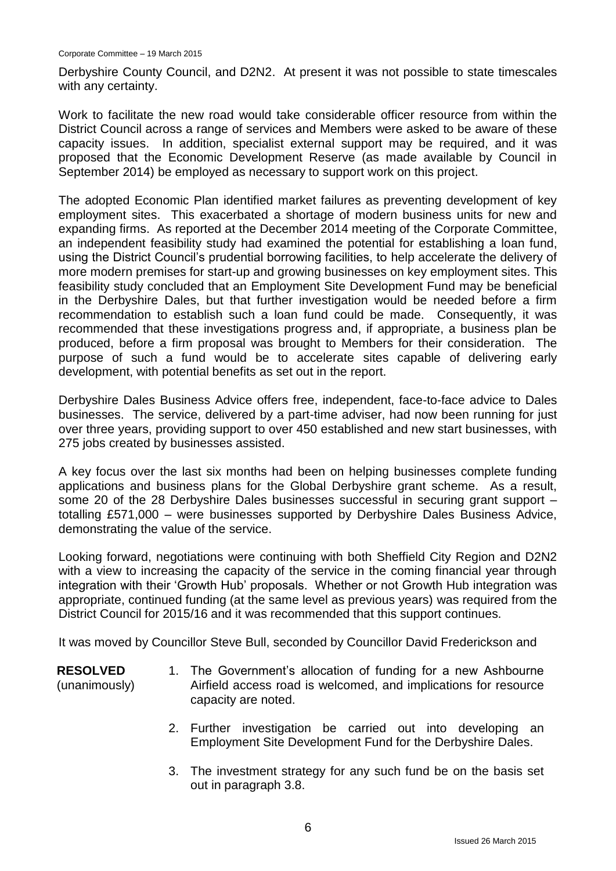Derbyshire County Council, and D2N2. At present it was not possible to state timescales with any certainty.

Work to facilitate the new road would take considerable officer resource from within the District Council across a range of services and Members were asked to be aware of these capacity issues. In addition, specialist external support may be required, and it was proposed that the Economic Development Reserve (as made available by Council in September 2014) be employed as necessary to support work on this project.

The adopted Economic Plan identified market failures as preventing development of key employment sites. This exacerbated a shortage of modern business units for new and expanding firms. As reported at the December 2014 meeting of the Corporate Committee, an independent feasibility study had examined the potential for establishing a loan fund, using the District Council's prudential borrowing facilities, to help accelerate the delivery of more modern premises for start-up and growing businesses on key employment sites. This feasibility study concluded that an Employment Site Development Fund may be beneficial in the Derbyshire Dales, but that further investigation would be needed before a firm recommendation to establish such a loan fund could be made. Consequently, it was recommended that these investigations progress and, if appropriate, a business plan be produced, before a firm proposal was brought to Members for their consideration. The purpose of such a fund would be to accelerate sites capable of delivering early development, with potential benefits as set out in the report.

Derbyshire Dales Business Advice offers free, independent, face-to-face advice to Dales businesses. The service, delivered by a part-time adviser, had now been running for just over three years, providing support to over 450 established and new start businesses, with 275 jobs created by businesses assisted.

A key focus over the last six months had been on helping businesses complete funding applications and business plans for the Global Derbyshire grant scheme. As a result, some 20 of the 28 Derbyshire Dales businesses successful in securing grant support – totalling £571,000 – were businesses supported by Derbyshire Dales Business Advice, demonstrating the value of the service.

Looking forward, negotiations were continuing with both Sheffield City Region and D2N2 with a view to increasing the capacity of the service in the coming financial year through integration with their 'Growth Hub' proposals. Whether or not Growth Hub integration was appropriate, continued funding (at the same level as previous years) was required from the District Council for 2015/16 and it was recommended that this support continues.

It was moved by Councillor Steve Bull, seconded by Councillor David Frederickson and

**RESOLVED** (unanimously)

- 1. The Government's allocation of funding for a new Ashbourne Airfield access road is welcomed, and implications for resource capacity are noted.
- 2. Further investigation be carried out into developing an Employment Site Development Fund for the Derbyshire Dales.
- 3. The investment strategy for any such fund be on the basis set out in paragraph 3.8.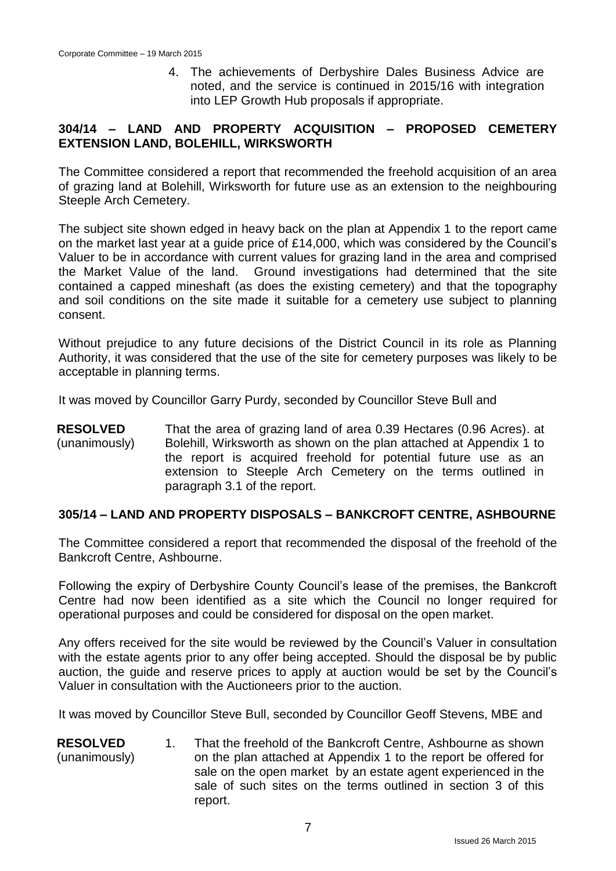4. The achievements of Derbyshire Dales Business Advice are noted, and the service is continued in 2015/16 with integration into LEP Growth Hub proposals if appropriate.

#### **304/14 – LAND AND PROPERTY ACQUISITION – PROPOSED CEMETERY EXTENSION LAND, BOLEHILL, WIRKSWORTH**

The Committee considered a report that recommended the freehold acquisition of an area of grazing land at Bolehill, Wirksworth for future use as an extension to the neighbouring Steeple Arch Cemetery.

The subject site shown edged in heavy back on the plan at Appendix 1 to the report came on the market last year at a guide price of £14,000, which was considered by the Council's Valuer to be in accordance with current values for grazing land in the area and comprised the Market Value of the land. Ground investigations had determined that the site contained a capped mineshaft (as does the existing cemetery) and that the topography and soil conditions on the site made it suitable for a cemetery use subject to planning consent.

Without prejudice to any future decisions of the District Council in its role as Planning Authority, it was considered that the use of the site for cemetery purposes was likely to be acceptable in planning terms.

It was moved by Councillor Garry Purdy, seconded by Councillor Steve Bull and

**RESOLVED** (unanimously) That the area of grazing land of area 0.39 Hectares (0.96 Acres). at Bolehill, Wirksworth as shown on the plan attached at Appendix 1 to the report is acquired freehold for potential future use as an extension to Steeple Arch Cemetery on the terms outlined in paragraph 3.1 of the report.

#### **305/14 – LAND AND PROPERTY DISPOSALS – BANKCROFT CENTRE, ASHBOURNE**

The Committee considered a report that recommended the disposal of the freehold of the Bankcroft Centre, Ashbourne.

Following the expiry of Derbyshire County Council's lease of the premises, the Bankcroft Centre had now been identified as a site which the Council no longer required for operational purposes and could be considered for disposal on the open market.

Any offers received for the site would be reviewed by the Council's Valuer in consultation with the estate agents prior to any offer being accepted. Should the disposal be by public auction, the guide and reserve prices to apply at auction would be set by the Council's Valuer in consultation with the Auctioneers prior to the auction.

It was moved by Councillor Steve Bull, seconded by Councillor Geoff Stevens, MBE and

**RESOLVED** (unanimously) 1. That the freehold of the Bankcroft Centre, Ashbourne as shown on the plan attached at Appendix 1 to the report be offered for sale on the open market by an estate agent experienced in the sale of such sites on the terms outlined in section 3 of this report.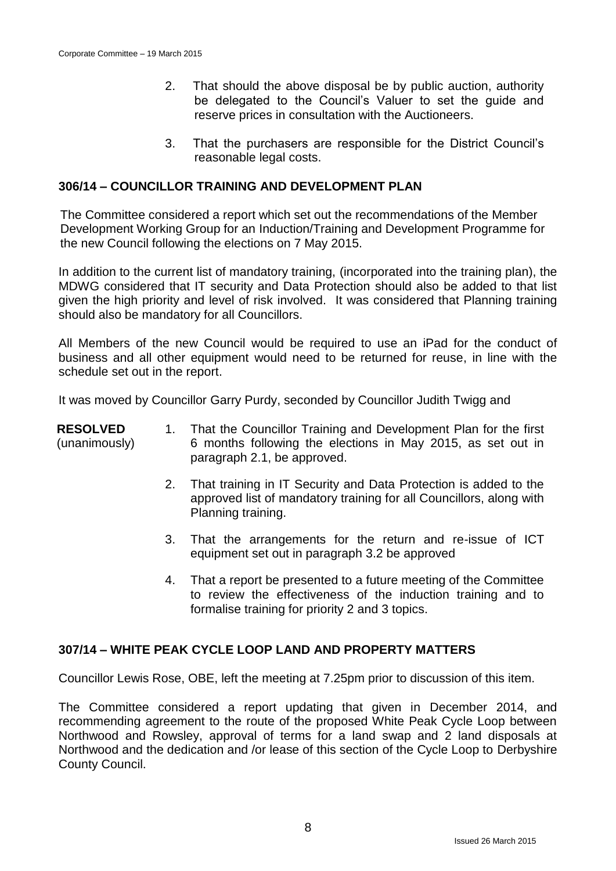- 2. That should the above disposal be by public auction, authority be delegated to the Council's Valuer to set the guide and reserve prices in consultation with the Auctioneers.
- 3. That the purchasers are responsible for the District Council's reasonable legal costs.

#### **306/14 – COUNCILLOR TRAINING AND DEVELOPMENT PLAN**

The Committee considered a report which set out the recommendations of the Member Development Working Group for an Induction/Training and Development Programme for the new Council following the elections on 7 May 2015.

In addition to the current list of mandatory training, (incorporated into the training plan), the MDWG considered that IT security and Data Protection should also be added to that list given the high priority and level of risk involved. It was considered that Planning training should also be mandatory for all Councillors.

All Members of the new Council would be required to use an iPad for the conduct of business and all other equipment would need to be returned for reuse, in line with the schedule set out in the report.

It was moved by Councillor Garry Purdy, seconded by Councillor Judith Twigg and

#### **RESOLVED** (unanimously) 1. That the Councillor Training and Development Plan for the first 6 months following the elections in May 2015, as set out in paragraph 2.1, be approved.

- 2. That training in IT Security and Data Protection is added to the approved list of mandatory training for all Councillors, along with Planning training.
- 3. That the arrangements for the return and re-issue of ICT equipment set out in paragraph 3.2 be approved
- 4. That a report be presented to a future meeting of the Committee to review the effectiveness of the induction training and to formalise training for priority 2 and 3 topics.

#### **307/14 – WHITE PEAK CYCLE LOOP LAND AND PROPERTY MATTERS**

Councillor Lewis Rose, OBE, left the meeting at 7.25pm prior to discussion of this item.

The Committee considered a report updating that given in December 2014, and recommending agreement to the route of the proposed White Peak Cycle Loop between Northwood and Rowsley, approval of terms for a land swap and 2 land disposals at Northwood and the dedication and /or lease of this section of the Cycle Loop to Derbyshire County Council.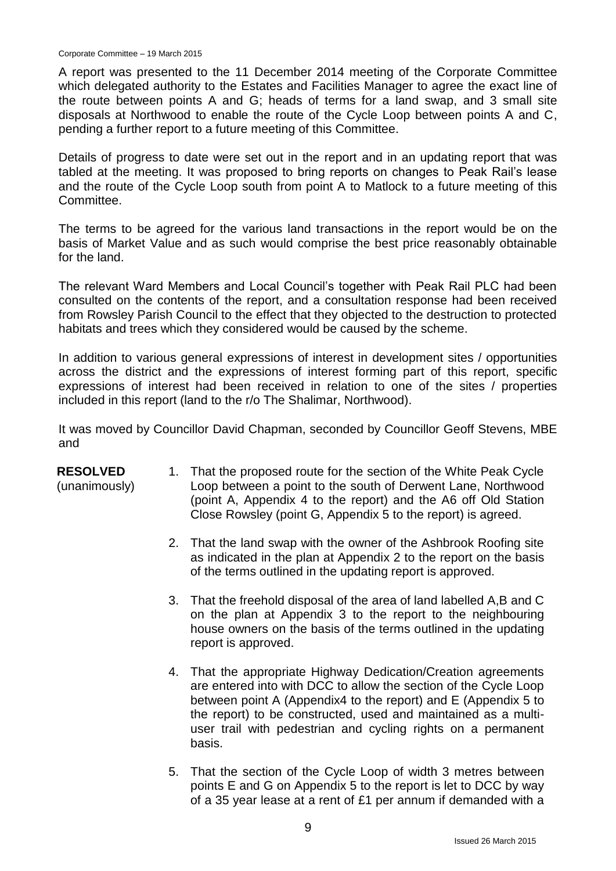A report was presented to the 11 December 2014 meeting of the Corporate Committee which delegated authority to the Estates and Facilities Manager to agree the exact line of the route between points A and G; heads of terms for a land swap, and 3 small site disposals at Northwood to enable the route of the Cycle Loop between points A and C, pending a further report to a future meeting of this Committee.

Details of progress to date were set out in the report and in an updating report that was tabled at the meeting. It was proposed to bring reports on changes to Peak Rail's lease and the route of the Cycle Loop south from point A to Matlock to a future meeting of this Committee.

The terms to be agreed for the various land transactions in the report would be on the basis of Market Value and as such would comprise the best price reasonably obtainable for the land.

The relevant Ward Members and Local Council's together with Peak Rail PLC had been consulted on the contents of the report, and a consultation response had been received from Rowsley Parish Council to the effect that they objected to the destruction to protected habitats and trees which they considered would be caused by the scheme.

In addition to various general expressions of interest in development sites / opportunities across the district and the expressions of interest forming part of this report, specific expressions of interest had been received in relation to one of the sites / properties included in this report (land to the r/o The Shalimar, Northwood).

It was moved by Councillor David Chapman, seconded by Councillor Geoff Stevens, MBE and

#### **RESOLVED**

(unanimously)

- 1. That the proposed route for the section of the White Peak Cycle Loop between a point to the south of Derwent Lane, Northwood (point A, Appendix 4 to the report) and the A6 off Old Station Close Rowsley (point G, Appendix 5 to the report) is agreed.
- 2. That the land swap with the owner of the Ashbrook Roofing site as indicated in the plan at Appendix 2 to the report on the basis of the terms outlined in the updating report is approved.
- 3. That the freehold disposal of the area of land labelled A,B and C on the plan at Appendix 3 to the report to the neighbouring house owners on the basis of the terms outlined in the updating report is approved.
- 4. That the appropriate Highway Dedication/Creation agreements are entered into with DCC to allow the section of the Cycle Loop between point A (Appendix4 to the report) and E (Appendix 5 to the report) to be constructed, used and maintained as a multiuser trail with pedestrian and cycling rights on a permanent basis.
- 5. That the section of the Cycle Loop of width 3 metres between points E and G on Appendix 5 to the report is let to DCC by way of a 35 year lease at a rent of £1 per annum if demanded with a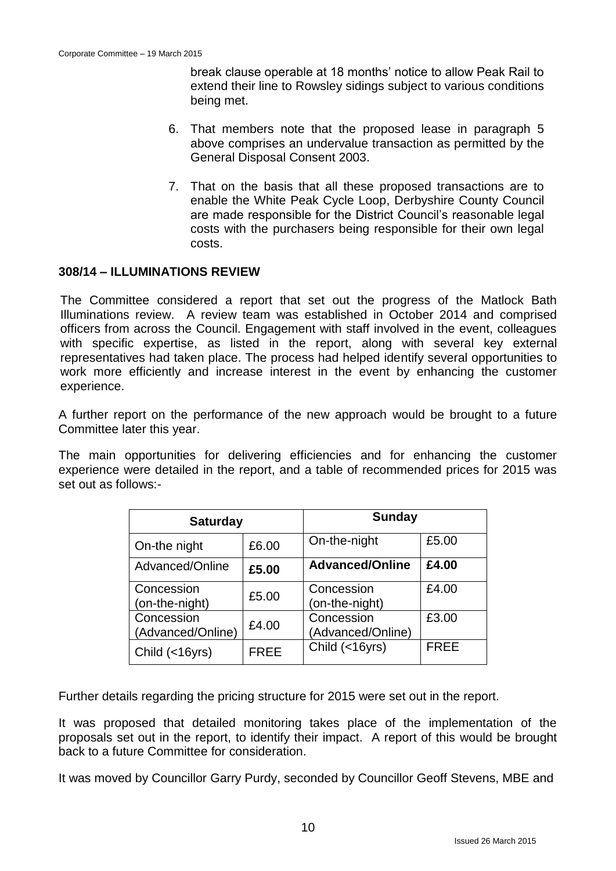break clause operable at 18 months' notice to allow Peak Rail to extend their line to Rowsley sidings subject to various conditions being met.

- 6. That members note that the proposed lease in paragraph 5 above comprises an undervalue transaction as permitted by the General Disposal Consent 2003.
- 7. That on the basis that all these proposed transactions are to enable the White Peak Cycle Loop, Derbyshire County Council are made responsible for the District Council's reasonable legal costs with the purchasers being responsible for their own legal costs.

#### **308/14 – ILLUMINATIONS REVIEW**

The Committee considered a report that set out the progress of the Matlock Bath Illuminations review. A review team was established in October 2014 and comprised officers from across the Council. Engagement with staff involved in the event, colleagues with specific expertise, as listed in the report, along with several key external representatives had taken place. The process had helped identify several opportunities to work more efficiently and increase interest in the event by enhancing the customer experience.

A further report on the performance of the new approach would be brought to a future Committee later this year.

The main opportunities for delivering efficiencies and for enhancing the customer experience were detailed in the report, and a table of recommended prices for 2015 was set out as follows:-

| <b>Saturday</b>                 |             | <b>Sunday</b>                   |             |
|---------------------------------|-------------|---------------------------------|-------------|
| On-the night                    | £6.00       | On-the-night                    | £5.00       |
| Advanced/Online                 | £5.00       | <b>Advanced/Online</b>          | £4.00       |
| Concession<br>(on-the-night)    | £5.00       | Concession<br>(on-the-night)    | £4.00       |
| Concession<br>(Advanced/Online) | £4.00       | Concession<br>(Advanced/Online) | £3.00       |
| Child (<16yrs)                  | <b>FREE</b> | Child (<16yrs)                  | <b>FREE</b> |

Further details regarding the pricing structure for 2015 were set out in the report.

It was proposed that detailed monitoring takes place of the implementation of the proposals set out in the report, to identify their impact. A report of this would be brought back to a future Committee for consideration.

It was moved by Councillor Garry Purdy, seconded by Councillor Geoff Stevens, MBE and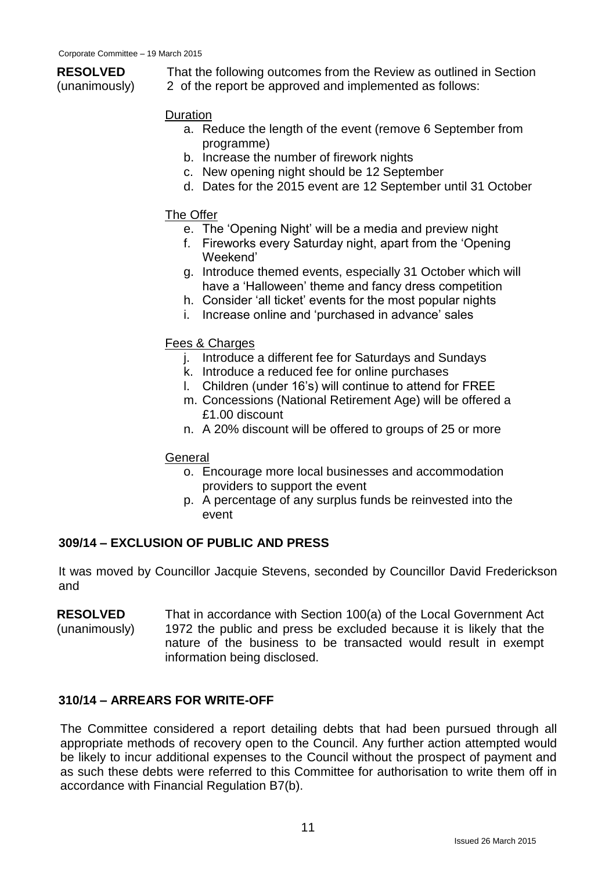# **RESOLVED**

(unanimously)

That the following outcomes from the Review as outlined in Section 2 of the report be approved and implemented as follows:

#### Duration

- a. Reduce the length of the event (remove 6 September from programme)
- b. Increase the number of firework nights
- c. New opening night should be 12 September
- d. Dates for the 2015 event are 12 September until 31 October

#### The Offer

- e. The 'Opening Night' will be a media and preview night
- f. Fireworks every Saturday night, apart from the 'Opening Weekend'
- g. Introduce themed events, especially 31 October which will have a 'Halloween' theme and fancy dress competition
- h. Consider 'all ticket' events for the most popular nights
- i. Increase online and 'purchased in advance' sales

#### Fees & Charges

- j. Introduce a different fee for Saturdays and Sundays
- k. Introduce a reduced fee for online purchases
- l. Children (under 16's) will continue to attend for FREE
- m. Concessions (National Retirement Age) will be offered a £1.00 discount
- n. A 20% discount will be offered to groups of 25 or more

#### **General**

- o. Encourage more local businesses and accommodation providers to support the event
- p. A percentage of any surplus funds be reinvested into the event

#### **309/14 – EXCLUSION OF PUBLIC AND PRESS**

It was moved by Councillor Jacquie Stevens, seconded by Councillor David Frederickson and

**RESOLVED** (unanimously) That in accordance with Section 100(a) of the Local Government Act 1972 the public and press be excluded because it is likely that the nature of the business to be transacted would result in exempt information being disclosed.

#### **310/14 – ARREARS FOR WRITE-OFF**

The Committee considered a report detailing debts that had been pursued through all appropriate methods of recovery open to the Council. Any further action attempted would be likely to incur additional expenses to the Council without the prospect of payment and as such these debts were referred to this Committee for authorisation to write them off in accordance with Financial Regulation B7(b).